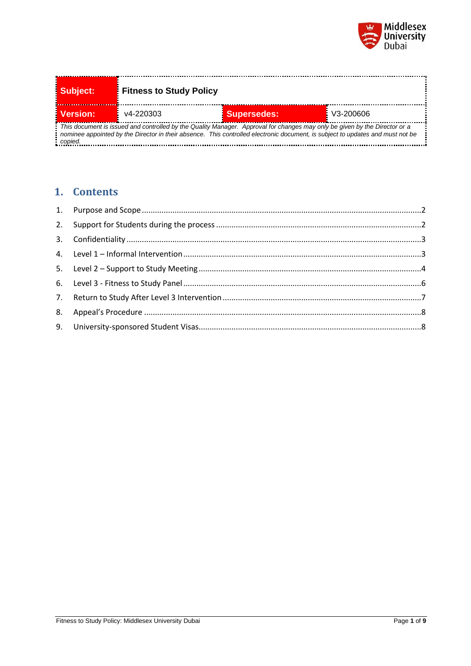

| Subject:                                                                                                                                                                                                                                                                  | <b>Fitness to Study Policy</b> |                    |           |  |  |
|---------------------------------------------------------------------------------------------------------------------------------------------------------------------------------------------------------------------------------------------------------------------------|--------------------------------|--------------------|-----------|--|--|
| <b>E</b> Version:                                                                                                                                                                                                                                                         | $v4 - 220303$                  | <b>Supersedes:</b> | V3-200606 |  |  |
| : This document is issued and controlled by the Quality Manager. Approval for changes may only be given by the Director or a<br>nominee appointed by the Director in their absence. This controlled electronic document, is subject to updates and must not be<br>conied. |                                |                    |           |  |  |

# **1. Contents**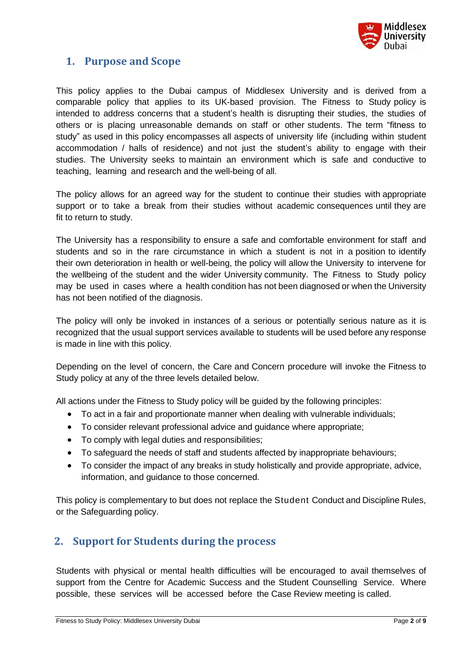

## <span id="page-1-0"></span>**1. Purpose and Scope**

This policy applies to the Dubai campus of Middlesex University and is derived from a comparable policy that applies to its UK-based provision. The Fitness to Study policy is intended to address concerns that a student's health is disrupting their studies, the studies of others or is placing unreasonable demands on staff or other students. The term "fitness to study" as used in this policy encompasses all aspects of university life (including within student accommodation / halls of residence) and not just the student's ability to engage with their studies. The University seeks to maintain an environment which is safe and conductive to teaching, learning and research and the well-being of all.

The policy allows for an agreed way for the student to continue their studies with appropriate support or to take a break from their studies without academic consequences until they are fit to return to study.

The University has a responsibility to ensure a safe and comfortable environment for staff and students and so in the rare circumstance in which a student is not in a position to identify their own deterioration in health or well-being, the policy will allow the University to intervene for the wellbeing of the student and the wider University community. The Fitness to Study policy may be used in cases where a health condition has not been diagnosed or when the University has not been notified of the diagnosis.

The policy will only be invoked in instances of a serious or potentially serious nature as it is recognized that the usual support services available to students will be used before any response is made in line with this policy.

Depending on the level of concern, the Care and Concern procedure will invoke the Fitness to Study policy at any of the three levels detailed below.

All actions under the Fitness to Study policy will be guided by the following principles:

- To act in a fair and proportionate manner when dealing with vulnerable individuals;
- To consider relevant professional advice and guidance where appropriate;
- To comply with legal duties and responsibilities;
- To safeguard the needs of staff and students affected by inappropriate behaviours;
- To consider the impact of any breaks in study holistically and provide appropriate, advice, information, and guidance to those concerned.

This policy is complementary to but does not replace the Student Conduct and Discipline Rules, or the Safeguarding policy.

### <span id="page-1-1"></span>**2. Support for Students during the process**

Students with physical or mental health difficulties will be encouraged to avail themselves of support from the Centre for Academic Success and the Student Counselling Service. Where possible, these services will be accessed before the Case Review meeting is called.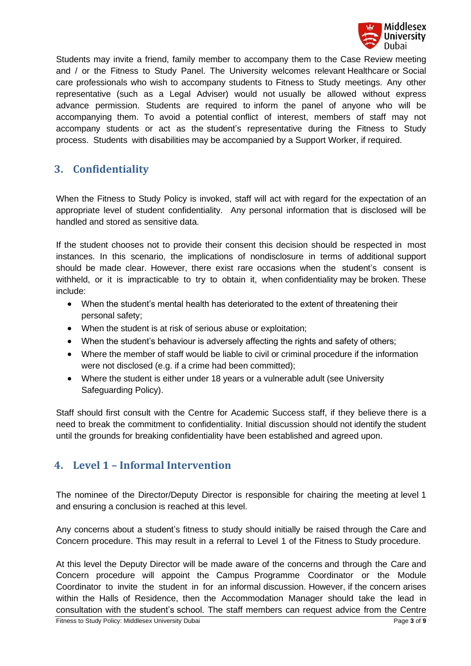

Students may invite a friend, family member to accompany them to the Case Review meeting and / or the Fitness to Study Panel. The University welcomes relevant Healthcare or Social care professionals who wish to accompany students to Fitness to Study meetings. Any other representative (such as a Legal Adviser) would not usually be allowed without express advance permission. Students are required to inform the panel of anyone who will be accompanying them. To avoid a potential conflict of interest, members of staff may not accompany students or act as the student's representative during the Fitness to Study process. Students with disabilities may be accompanied by a Support Worker, if required.

# <span id="page-2-0"></span>**3. Confidentiality**

When the Fitness to Study Policy is invoked, staff will act with regard for the expectation of an appropriate level of student confidentiality. Any personal information that is disclosed will be handled and stored as sensitive data.

If the student chooses not to provide their consent this decision should be respected in most instances. In this scenario, the implications of nondisclosure in terms of additional support should be made clear. However, there exist rare occasions when the student's consent is withheld, or it is impracticable to try to obtain it, when confidentiality may be broken. These include:

- When the student's mental health has deteriorated to the extent of threatening their personal safety;
- When the student is at risk of serious abuse or exploitation;
- When the student's behaviour is adversely affecting the rights and safety of others;
- Where the member of staff would be liable to civil or criminal procedure if the information were not disclosed (e.g. if a crime had been committed);
- Where the student is either under 18 years or a vulnerable adult (see University Safeguarding Policy).

Staff should first consult with the Centre for Academic Success staff, if they believe there is a need to break the commitment to confidentiality. Initial discussion should not identify the student until the grounds for breaking confidentiality have been established and agreed upon.

# <span id="page-2-1"></span>**4. Level 1 – Informal Intervention**

The nominee of the Director/Deputy Director is responsible for chairing the meeting at level 1 and ensuring a conclusion is reached at this level.

Any concerns about a student's fitness to study should initially be raised through the Care and Concern procedure. This may result in a referral to Level 1 of the Fitness to Study procedure.

Fitness to Study Policy: Middlesex University Dubai Page **3** of **9** At this level the Deputy Director will be made aware of the concerns and through the Care and Concern procedure will appoint the Campus Programme Coordinator or the Module Coordinator to invite the student in for an informal discussion. However, if the concern arises within the Halls of Residence, then the Accommodation Manager should take the lead in consultation with the student's school. The staff members can request advice from the Centre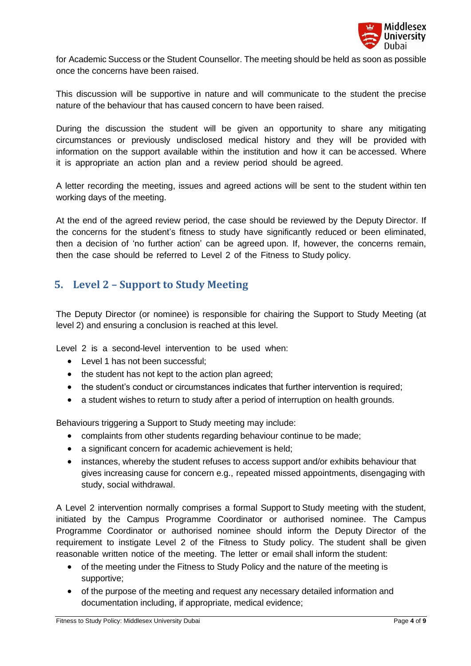

for Academic Success or the Student Counsellor. The meeting should be held as soon as possible once the concerns have been raised.

This discussion will be supportive in nature and will communicate to the student the precise nature of the behaviour that has caused concern to have been raised.

During the discussion the student will be given an opportunity to share any mitigating circumstances or previously undisclosed medical history and they will be provided with information on the support available within the institution and how it can be accessed. Where it is appropriate an action plan and a review period should be agreed.

A letter recording the meeting, issues and agreed actions will be sent to the student within ten working days of the meeting.

At the end of the agreed review period, the case should be reviewed by the Deputy Director. If the concerns for the student's fitness to study have significantly reduced or been eliminated, then a decision of 'no further action' can be agreed upon. If, however, the concerns remain, then the case should be referred to Level 2 of the Fitness to Study policy.

# <span id="page-3-0"></span>**5. Level 2 – Support to Study Meeting**

The Deputy Director (or nominee) is responsible for chairing the Support to Study Meeting (at level 2) and ensuring a conclusion is reached at this level.

Level 2 is a second-level intervention to be used when:

- Level 1 has not been successful;
- the student has not kept to the action plan agreed;
- the student's conduct or circumstances indicates that further intervention is required;
- a student wishes to return to study after a period of interruption on health grounds.

Behaviours triggering a Support to Study meeting may include:

- complaints from other students regarding behaviour continue to be made;
- a significant concern for academic achievement is held;
- instances, whereby the student refuses to access support and/or exhibits behaviour that gives increasing cause for concern e.g., repeated missed appointments, disengaging with study, social withdrawal.

A Level 2 intervention normally comprises a formal Support to Study meeting with the student, initiated by the Campus Programme Coordinator or authorised nominee. The Campus Programme Coordinator or authorised nominee should inform the Deputy Director of the requirement to instigate Level 2 of the Fitness to Study policy. The student shall be given reasonable written notice of the meeting. The letter or email shall inform the student:

- of the meeting under the Fitness to Study Policy and the nature of the meeting is supportive;
- of the purpose of the meeting and request any necessary detailed information and documentation including, if appropriate, medical evidence;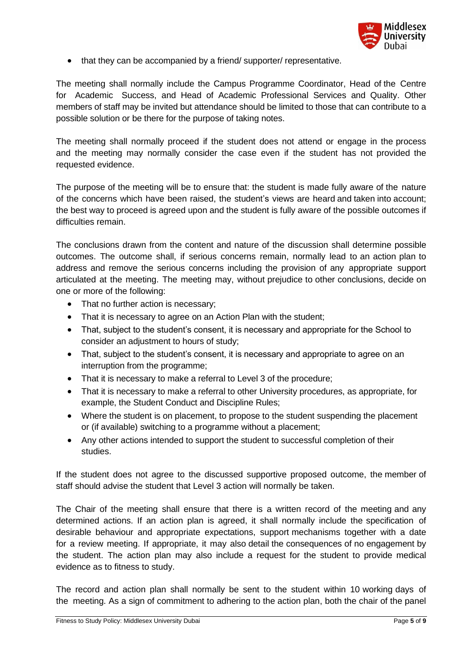

• that they can be accompanied by a friend/ supporter/ representative.

The meeting shall normally include the Campus Programme Coordinator, Head of the Centre for Academic Success, and Head of Academic Professional Services and Quality. Other members of staff may be invited but attendance should be limited to those that can contribute to a possible solution or be there for the purpose of taking notes.

The meeting shall normally proceed if the student does not attend or engage in the process and the meeting may normally consider the case even if the student has not provided the requested evidence.

The purpose of the meeting will be to ensure that: the student is made fully aware of the nature of the concerns which have been raised, the student's views are heard and taken into account; the best way to proceed is agreed upon and the student is fully aware of the possible outcomes if difficulties remain.

The conclusions drawn from the content and nature of the discussion shall determine possible outcomes. The outcome shall, if serious concerns remain, normally lead to an action plan to address and remove the serious concerns including the provision of any appropriate support articulated at the meeting. The meeting may, without prejudice to other conclusions, decide on one or more of the following:

- That no further action is necessary;
- That it is necessary to agree on an Action Plan with the student;
- That, subject to the student's consent, it is necessary and appropriate for the School to consider an adjustment to hours of study;
- That, subject to the student's consent, it is necessary and appropriate to agree on an interruption from the programme;
- That it is necessary to make a referral to Level 3 of the procedure;
- That it is necessary to make a referral to other University procedures, as appropriate, for example, the Student Conduct and Discipline Rules;
- Where the student is on placement, to propose to the student suspending the placement or (if available) switching to a programme without a placement;
- Any other actions intended to support the student to successful completion of their studies.

If the student does not agree to the discussed supportive proposed outcome, the member of staff should advise the student that Level 3 action will normally be taken.

The Chair of the meeting shall ensure that there is a written record of the meeting and any determined actions. If an action plan is agreed, it shall normally include the specification of desirable behaviour and appropriate expectations, support mechanisms together with a date for a review meeting. If appropriate, it may also detail the consequences of no engagement by the student. The action plan may also include a request for the student to provide medical evidence as to fitness to study.

The record and action plan shall normally be sent to the student within 10 working days of the meeting. As a sign of commitment to adhering to the action plan, both the chair of the panel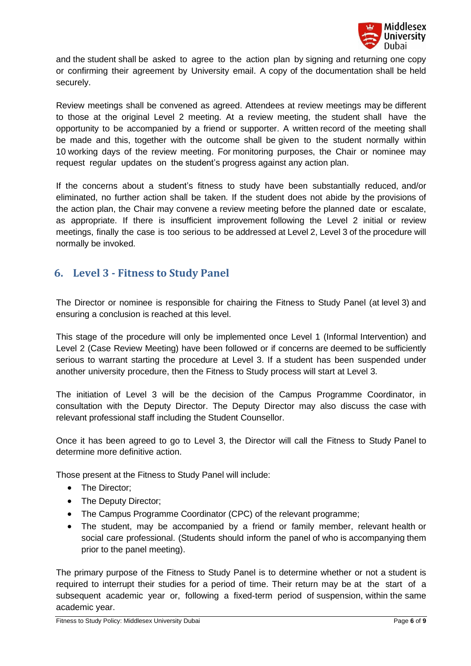

and the student shall be asked to agree to the action plan by signing and returning one copy or confirming their agreement by University email. A copy of the documentation shall be held securely.

Review meetings shall be convened as agreed. Attendees at review meetings may be different to those at the original Level 2 meeting. At a review meeting, the student shall have the opportunity to be accompanied by a friend or supporter. A written record of the meeting shall be made and this, together with the outcome shall be given to the student normally within 10 working days of the review meeting. For monitoring purposes, the Chair or nominee may request regular updates on the student's progress against any action plan.

If the concerns about a student's fitness to study have been substantially reduced, and/or eliminated, no further action shall be taken. If the student does not abide by the provisions of the action plan, the Chair may convene a review meeting before the planned date or escalate, as appropriate. If there is insufficient improvement following the Level 2 initial or review meetings, finally the case is too serious to be addressed at Level 2, Level 3 of the procedure will normally be invoked.

### <span id="page-5-0"></span>**6. Level 3 - Fitness to Study Panel**

The Director or nominee is responsible for chairing the Fitness to Study Panel (at level 3) and ensuring a conclusion is reached at this level.

This stage of the procedure will only be implemented once Level 1 (Informal Intervention) and Level 2 (Case Review Meeting) have been followed or if concerns are deemed to be sufficiently serious to warrant starting the procedure at Level 3. If a student has been suspended under another university procedure, then the Fitness to Study process will start at Level 3.

The initiation of Level 3 will be the decision of the Campus Programme Coordinator, in consultation with the Deputy Director. The Deputy Director may also discuss the case with relevant professional staff including the Student Counsellor.

Once it has been agreed to go to Level 3, the Director will call the Fitness to Study Panel to determine more definitive action.

Those present at the Fitness to Study Panel will include:

- The Director;
- The Deputy Director;
- The Campus Programme Coordinator (CPC) of the relevant programme;
- The student, may be accompanied by a friend or family member, relevant health or social care professional. (Students should inform the panel of who is accompanying them prior to the panel meeting).

The primary purpose of the Fitness to Study Panel is to determine whether or not a student is required to interrupt their studies for a period of time. Their return may be at the start of a subsequent academic year or, following a fixed-term period of suspension, within the same academic year.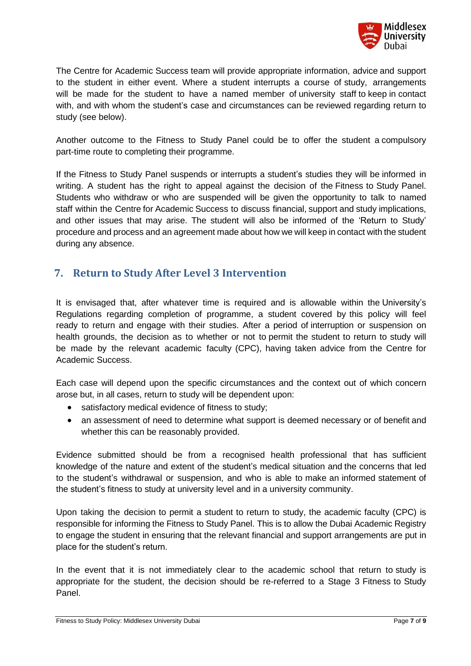

The Centre for Academic Success team will provide appropriate information, advice and support to the student in either event. Where a student interrupts a course of study, arrangements will be made for the student to have a named member of university staff to keep in contact with, and with whom the student's case and circumstances can be reviewed regarding return to study (see below).

Another outcome to the Fitness to Study Panel could be to offer the student a compulsory part-time route to completing their programme.

If the Fitness to Study Panel suspends or interrupts a student's studies they will be informed in writing. A student has the right to appeal against the decision of the Fitness to Study Panel. Students who withdraw or who are suspended will be given the opportunity to talk to named staff within the Centre for Academic Success to discuss financial, support and study implications, and other issues that may arise. The student will also be informed of the 'Return to Study' procedure and process and an agreement made about how we will keep in contact with the student during any absence.

## <span id="page-6-0"></span>**7. Return to Study After Level 3 Intervention**

It is envisaged that, after whatever time is required and is allowable within the University's Regulations regarding completion of programme, a student covered by this policy will feel ready to return and engage with their studies. After a period of interruption or suspension on health grounds, the decision as to whether or not to permit the student to return to study will be made by the relevant academic faculty (CPC), having taken advice from the Centre for Academic Success.

Each case will depend upon the specific circumstances and the context out of which concern arose but, in all cases, return to study will be dependent upon:

- satisfactory medical evidence of fitness to study;
- an assessment of need to determine what support is deemed necessary or of benefit and whether this can be reasonably provided.

Evidence submitted should be from a recognised health professional that has sufficient knowledge of the nature and extent of the student's medical situation and the concerns that led to the student's withdrawal or suspension, and who is able to make an informed statement of the student's fitness to study at university level and in a university community.

Upon taking the decision to permit a student to return to study, the academic faculty (CPC) is responsible for informing the Fitness to Study Panel. This is to allow the Dubai Academic Registry to engage the student in ensuring that the relevant financial and support arrangements are put in place for the student's return.

In the event that it is not immediately clear to the academic school that return to study is appropriate for the student, the decision should be re-referred to a Stage 3 Fitness to Study Panel.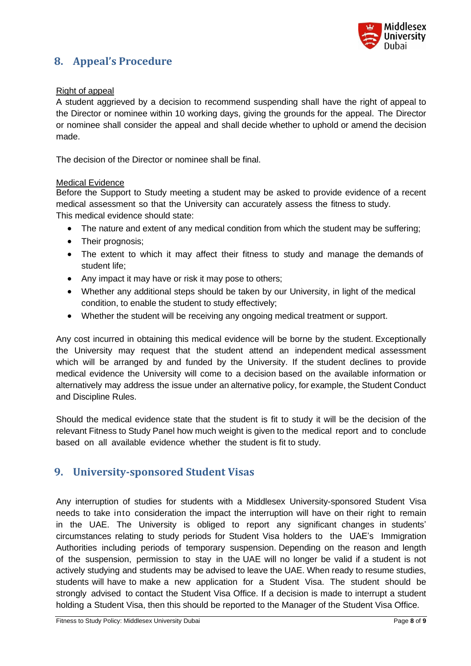

# <span id="page-7-0"></span>**8. Appeal's Procedure**

#### Right of appeal

A student aggrieved by a decision to recommend suspending shall have the right of appeal to the Director or nominee within 10 working days, giving the grounds for the appeal. The Director or nominee shall consider the appeal and shall decide whether to uphold or amend the decision made.

The decision of the Director or nominee shall be final.

#### Medical Evidence

Before the Support to Study meeting a student may be asked to provide evidence of a recent medical assessment so that the University can accurately assess the fitness to study. This medical evidence should state:

- The nature and extent of any medical condition from which the student may be suffering;
- Their prognosis;
- The extent to which it may affect their fitness to study and manage the demands of student life;
- Any impact it may have or risk it may pose to others;
- Whether any additional steps should be taken by our University, in light of the medical condition, to enable the student to study effectively;
- Whether the student will be receiving any ongoing medical treatment or support.

Any cost incurred in obtaining this medical evidence will be borne by the student. Exceptionally the University may request that the student attend an independent medical assessment which will be arranged by and funded by the University. If the student declines to provide medical evidence the University will come to a decision based on the available information or alternatively may address the issue under an alternative policy, for example, the Student Conduct and Discipline Rules.

Should the medical evidence state that the student is fit to study it will be the decision of the relevant Fitness to Study Panel how much weight is given to the medical report and to conclude based on all available evidence whether the student is fit to study.

### <span id="page-7-1"></span>**9. University-sponsored Student Visas**

Any interruption of studies for students with a Middlesex University-sponsored Student Visa needs to take into consideration the impact the interruption will have on their right to remain in the UAE. The University is obliged to report any significant changes in students' circumstances relating to study periods for Student Visa holders to the UAE's Immigration Authorities including periods of temporary suspension. Depending on the reason and length of the suspension, permission to stay in the UAE will no longer be valid if a student is not actively studying and students may be advised to leave the UAE. When ready to resume studies, students will have to make a new application for a Student Visa. The student should be strongly advised to contact the Student Visa Office. If a decision is made to interrupt a student holding a Student Visa, then this should be reported to the Manager of the Student Visa Office.